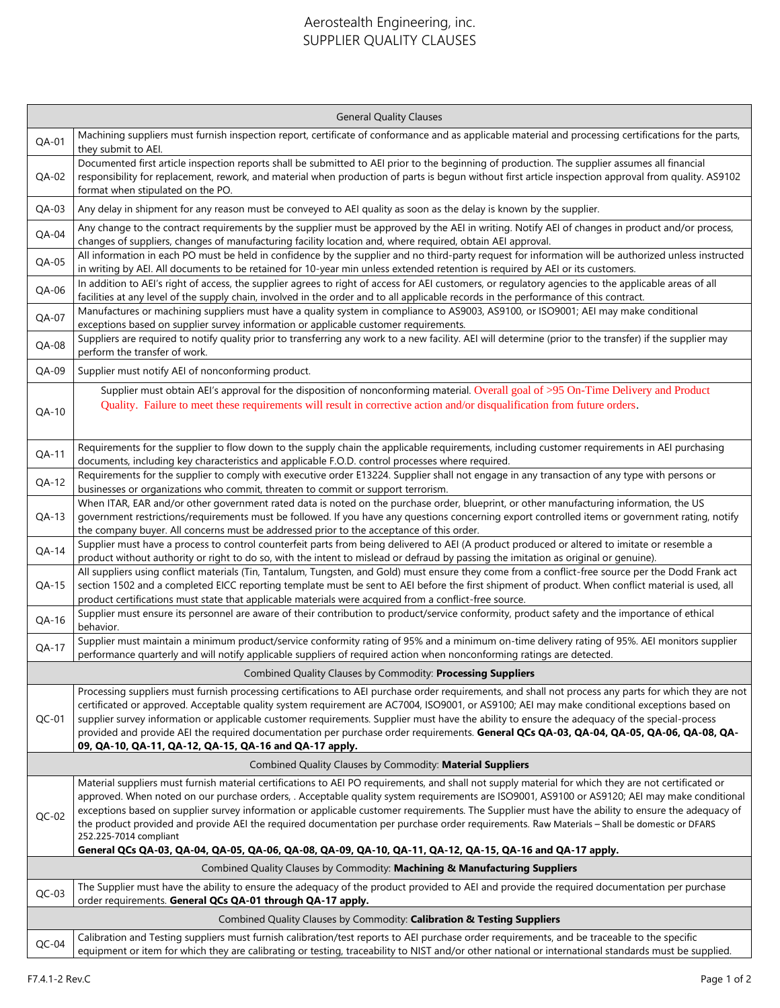## Aerostealth Engineering, inc. SUPPLIER QUALITY CLAUSES

| <b>General Quality Clauses</b>                                             |                                                                                                                                                                                                                                                                                                                                                                                                                                                                                                                                                                                                                                                                                                                                                     |
|----------------------------------------------------------------------------|-----------------------------------------------------------------------------------------------------------------------------------------------------------------------------------------------------------------------------------------------------------------------------------------------------------------------------------------------------------------------------------------------------------------------------------------------------------------------------------------------------------------------------------------------------------------------------------------------------------------------------------------------------------------------------------------------------------------------------------------------------|
| QA-01                                                                      | Machining suppliers must furnish inspection report, certificate of conformance and as applicable material and processing certifications for the parts,<br>they submit to AEI.                                                                                                                                                                                                                                                                                                                                                                                                                                                                                                                                                                       |
| QA-02                                                                      | Documented first article inspection reports shall be submitted to AEI prior to the beginning of production. The supplier assumes all financial<br>responsibility for replacement, rework, and material when production of parts is begun without first article inspection approval from quality. AS9102<br>format when stipulated on the PO.                                                                                                                                                                                                                                                                                                                                                                                                        |
| $QA-03$                                                                    | Any delay in shipment for any reason must be conveyed to AEI quality as soon as the delay is known by the supplier.                                                                                                                                                                                                                                                                                                                                                                                                                                                                                                                                                                                                                                 |
| $QA-04$                                                                    | Any change to the contract requirements by the supplier must be approved by the AEI in writing. Notify AEI of changes in product and/or process,<br>changes of suppliers, changes of manufacturing facility location and, where required, obtain AEI approval.                                                                                                                                                                                                                                                                                                                                                                                                                                                                                      |
| $QA-05$                                                                    | All information in each PO must be held in confidence by the supplier and no third-party request for information will be authorized unless instructed<br>in writing by AEI. All documents to be retained for 10-year min unless extended retention is required by AEI or its customers.                                                                                                                                                                                                                                                                                                                                                                                                                                                             |
| QA-06                                                                      | In addition to AEI's right of access, the supplier agrees to right of access for AEI customers, or regulatory agencies to the applicable areas of all<br>facilities at any level of the supply chain, involved in the order and to all applicable records in the performance of this contract.                                                                                                                                                                                                                                                                                                                                                                                                                                                      |
| QA-07                                                                      | Manufactures or machining suppliers must have a quality system in compliance to AS9003, AS9100, or ISO9001; AEI may make conditional<br>exceptions based on supplier survey information or applicable customer requirements.                                                                                                                                                                                                                                                                                                                                                                                                                                                                                                                        |
| QA-08                                                                      | Suppliers are required to notify quality prior to transferring any work to a new facility. AEI will determine (prior to the transfer) if the supplier may<br>perform the transfer of work.                                                                                                                                                                                                                                                                                                                                                                                                                                                                                                                                                          |
| QA-09                                                                      | Supplier must notify AEI of nonconforming product.                                                                                                                                                                                                                                                                                                                                                                                                                                                                                                                                                                                                                                                                                                  |
| QA-10                                                                      | Supplier must obtain AEI's approval for the disposition of nonconforming material. Overall goal of >95 On-Time Delivery and Product<br>Quality. Failure to meet these requirements will result in corrective action and/or disqualification from future orders.                                                                                                                                                                                                                                                                                                                                                                                                                                                                                     |
| QA-11                                                                      | Requirements for the supplier to flow down to the supply chain the applicable requirements, including customer requirements in AEI purchasing<br>documents, including key characteristics and applicable F.O.D. control processes where required.                                                                                                                                                                                                                                                                                                                                                                                                                                                                                                   |
| QA-12                                                                      | Requirements for the supplier to comply with executive order E13224. Supplier shall not engage in any transaction of any type with persons or<br>businesses or organizations who commit, threaten to commit or support terrorism.                                                                                                                                                                                                                                                                                                                                                                                                                                                                                                                   |
| $QA-13$                                                                    | When ITAR, EAR and/or other government rated data is noted on the purchase order, blueprint, or other manufacturing information, the US<br>government restrictions/requirements must be followed. If you have any questions concerning export controlled items or government rating, notify<br>the company buyer. All concerns must be addressed prior to the acceptance of this order.                                                                                                                                                                                                                                                                                                                                                             |
| QA-14                                                                      | Supplier must have a process to control counterfeit parts from being delivered to AEI (A product produced or altered to imitate or resemble a<br>product without authority or right to do so, with the intent to mislead or defraud by passing the imitation as original or genuine).                                                                                                                                                                                                                                                                                                                                                                                                                                                               |
| $QA-15$                                                                    | All suppliers using conflict materials (Tin, Tantalum, Tungsten, and Gold) must ensure they come from a conflict-free source per the Dodd Frank act<br>section 1502 and a completed EICC reporting template must be sent to AEI before the first shipment of product. When conflict material is used, all<br>product certifications must state that applicable materials were acquired from a conflict-free source.                                                                                                                                                                                                                                                                                                                                 |
| QA-16                                                                      | Supplier must ensure its personnel are aware of their contribution to product/service conformity, product safety and the importance of ethical<br>behavior.                                                                                                                                                                                                                                                                                                                                                                                                                                                                                                                                                                                         |
| QA-17                                                                      | Supplier must maintain a minimum product/service conformity rating of 95% and a minimum on-time delivery rating of 95%. AEI monitors supplier<br>performance quarterly and will notify applicable suppliers of required action when nonconforming ratings are detected.                                                                                                                                                                                                                                                                                                                                                                                                                                                                             |
| Combined Quality Clauses by Commodity: Processing Suppliers                |                                                                                                                                                                                                                                                                                                                                                                                                                                                                                                                                                                                                                                                                                                                                                     |
| $QC-01$                                                                    | Processing suppliers must furnish processing certifications to AEI purchase order requirements, and shall not process any parts for which they are not<br>certificated or approved. Acceptable quality system requirement are AC7004, ISO9001, or AS9100; AEI may make conditional exceptions based on<br>supplier survey information or applicable customer requirements. Supplier must have the ability to ensure the adequacy of the special-process<br>provided and provide AEI the required documentation per purchase order requirements. General QCs QA-03, QA-04, QA-04, QA-06, QA-08, QA-08, QA-08, QA-08, QA-08, QA-08, QA-08, QA-08, QA-08, QA-08, QA-08, QA-08, QA-08, QA-08,<br>09, QA-10, QA-11, QA-12, QA-15, QA-16 and QA-17 apply. |
| Combined Quality Clauses by Commodity: Material Suppliers                  |                                                                                                                                                                                                                                                                                                                                                                                                                                                                                                                                                                                                                                                                                                                                                     |
| $QC-02$                                                                    | Material suppliers must furnish material certifications to AEI PO requirements, and shall not supply material for which they are not certificated or<br>approved. When noted on our purchase orders, . Acceptable quality system requirements are ISO9001, AS9100 or AS9120; AEI may make conditional<br>exceptions based on supplier survey information or applicable customer requirements. The Supplier must have the ability to ensure the adequacy of<br>the product provided and provide AEI the required documentation per purchase order requirements. Raw Materials - Shall be domestic or DFARS<br>252.225-7014 compliant<br>General QCs QA-03, QA-04, QA-05, QA-06, QA-08, QA-09, QA-10, QA-11, QA-12, QA-15, QA-16 and QA-17 apply.     |
| Combined Quality Clauses by Commodity: Machining & Manufacturing Suppliers |                                                                                                                                                                                                                                                                                                                                                                                                                                                                                                                                                                                                                                                                                                                                                     |
| $QC-03$                                                                    | The Supplier must have the ability to ensure the adequacy of the product provided to AEI and provide the required documentation per purchase<br>order requirements. General QCs QA-01 through QA-17 apply.                                                                                                                                                                                                                                                                                                                                                                                                                                                                                                                                          |
| Combined Quality Clauses by Commodity: Calibration & Testing Suppliers     |                                                                                                                                                                                                                                                                                                                                                                                                                                                                                                                                                                                                                                                                                                                                                     |
| $QC-04$                                                                    | Calibration and Testing suppliers must furnish calibration/test reports to AEI purchase order requirements, and be traceable to the specific<br>equipment or item for which they are calibrating or testing, traceability to NIST and/or other national or international standards must be supplied.                                                                                                                                                                                                                                                                                                                                                                                                                                                |